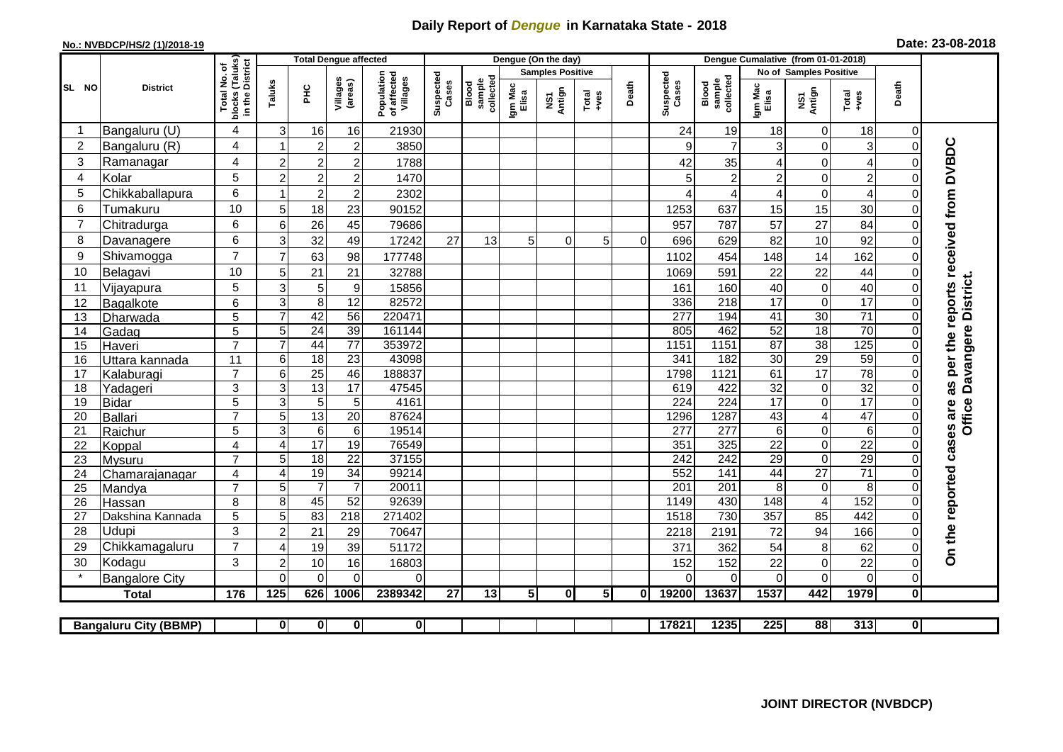## **Daily Report of** *Dengue* **in Karnataka State - 2018**

## **No.: NVBDCP/HS/2 (1)/2018-19**

| Date: 23-08-2018 |  |  |  |  |
|------------------|--|--|--|--|
|------------------|--|--|--|--|

|                |                              |                                                                              |                           |                 | <b>Total Dengue affected</b> |                                       |                    |                              | Dengue (On the day)     |                         |                |          |                    |                              |                        |                         |                 |              |                                     |
|----------------|------------------------------|------------------------------------------------------------------------------|---------------------------|-----------------|------------------------------|---------------------------------------|--------------------|------------------------------|-------------------------|-------------------------|----------------|----------|--------------------|------------------------------|------------------------|-------------------------|-----------------|--------------|-------------------------------------|
|                |                              |                                                                              |                           |                 |                              |                                       |                    |                              |                         | <b>Samples Positive</b> |                |          |                    |                              | No of Samples Positive |                         |                 |              |                                     |
| SL NO          | <b>District</b>              | Total No. of<br>Iocks (Taluks)<br>In the District<br><b>blocks</b><br>in the | Taluks                    | 꾿               | Villages<br>(areas)          | Population<br>of affected<br>Villages | Suspected<br>Cases | collected<br>sample<br>Blood | Igm Mac<br>Elisa        | NS1<br>Antign           | Total<br>+ves  | Death    | Suspected<br>Cases | collected<br>sample<br>Blood | Igm Mac<br>Elisa       | NS1<br>Antign           | Total<br>$-1$   | Death        |                                     |
|                | Bangaluru (U)                | $\overline{4}$                                                               | 3                         | 16              | 16                           | 21930                                 |                    |                              |                         |                         |                |          | 24                 | 19                           | 18                     | $\mathbf 0$             | 18              | $\Omega$     |                                     |
| $\overline{2}$ | Bangaluru (R)                | 4                                                                            |                           | $\overline{2}$  | $\overline{c}$               | 3850                                  |                    |                              |                         |                         |                |          | 9                  | $\overline{7}$               | 3                      | $\mathbf 0$             | $\mathbf{3}$    | $\Omega$     |                                     |
| 3              | Ramanagar                    | 4                                                                            | $\overline{c}$            | $\overline{c}$  | $\overline{c}$               | 1788                                  |                    |                              |                         |                         |                |          | 42                 | 35                           | 4                      | $\mathbf 0$             | $\overline{4}$  |              | per the reports received from DVBDC |
| $\overline{4}$ | Kolar                        | 5                                                                            | $\overline{c}$            | $\overline{2}$  | $\overline{2}$               | 1470                                  |                    |                              |                         |                         |                |          | 5                  | $\overline{c}$               | $\overline{c}$         | $\mathbf 0$             | $\overline{c}$  |              |                                     |
| 5              | Chikkaballapura              | 6                                                                            |                           | $\overline{2}$  | $\overline{2}$               | 2302                                  |                    |                              |                         |                         |                |          |                    | 4                            | 4                      | $\mathbf 0$             | $\overline{4}$  |              |                                     |
| 6              | Tumakuru                     | 10                                                                           | 5                         | 18              | 23                           | 90152                                 |                    |                              |                         |                         |                |          | 1253               | 637                          | 15                     | 15                      | 30              | $\Omega$     |                                     |
| 7              | Chitradurga                  | 6                                                                            | $6\phantom{1}6$           | 26              | 45                           | 79686                                 |                    |                              |                         |                         |                |          | 957                | 787                          | 57                     | $\overline{27}$         | 84              | $\Omega$     |                                     |
| 8              | Davanagere                   | 6                                                                            | 3                         | 32              | 49                           | 17242                                 | 27                 | 13                           | 5                       | $\Omega$                | 5              | $\Omega$ | 696                | 629                          | 82                     | 10                      | 92              | $\Omega$     |                                     |
| 9              | Shivamogga                   | $\overline{7}$                                                               | $\overline{7}$            | 63              | 98                           | 177748                                |                    |                              |                         |                         |                |          | 1102               | 454                          | 148                    | 14                      | 162             | $\Omega$     |                                     |
| 10             | Belagavi                     | 10                                                                           | 5                         | 21              | 21                           | 32788                                 |                    |                              |                         |                         |                |          | 1069               | 591                          | 22                     | 22                      | 44              | 0            |                                     |
| 11             | Vijayapura                   | 5                                                                            | $\sqrt{3}$                | 5               | $\boldsymbol{9}$             | 15856                                 |                    |                              |                         |                         |                |          | 161                | 160                          | 40                     | $\pmb{0}$               | 40              |              | Office Davangere District.          |
| 12             | Bagalkote                    | 6                                                                            | $\ensuremath{\mathsf{3}}$ | 8               | $\overline{12}$              | 82572                                 |                    |                              |                         |                         |                |          | 336                | $\overline{218}$             | $\overline{17}$        | $\boldsymbol{0}$        | $\overline{17}$ | $\Omega$     |                                     |
| 13             | Dharwada                     | $\overline{5}$                                                               | $\overline{7}$            | 42              | 56                           | 220471                                |                    |                              |                         |                         |                |          | $\overline{277}$   | 194                          | 41                     | 30                      | $\overline{71}$ | $\Omega$     |                                     |
| 14             | Gadag                        | 5                                                                            | $\mathbf 5$               | $\overline{24}$ | 39                           | 161144                                |                    |                              |                         |                         |                |          | 805                | 462                          | 52                     | $\overline{18}$         | 70              | $\mathbf{0}$ |                                     |
| 15             | Haveri                       | $\overline{7}$                                                               | $\overline{7}$            | 44              | $\overline{77}$              | 353972                                |                    |                              |                         |                         |                |          | 1151               | 1151                         | 87                     | $\overline{38}$         | 125             | $\mathbf{0}$ |                                     |
| 16             | Uttara kannada               | 11                                                                           | $6\phantom{1}6$           | $\overline{18}$ | $\overline{23}$              | 43098                                 |                    |                              |                         |                         |                |          | 341                | 182                          | 30                     | 29                      | 59              | $\Omega$     |                                     |
| 17             | Kalaburagi                   | $\overline{7}$                                                               | $6\phantom{1}6$           | 25              | 46                           | 188837                                |                    |                              |                         |                         |                |          | 1798               | 1121                         | 61                     | $\overline{17}$         | $\overline{78}$ |              |                                     |
| 18             | Yadageri                     | 3                                                                            | $\mathbf 3$               | 13              | $\overline{17}$              | 47545                                 |                    |                              |                         |                         |                |          | 619                | 422                          | $\overline{32}$        | $\mathbf 0$             | 32              |              | $\frac{1}{26}$                      |
| 19             | <b>Bidar</b>                 | 5                                                                            | $\overline{3}$            | $\overline{5}$  | $\overline{5}$               | 4161                                  |                    |                              |                         |                         |                |          | 224                | 224                          | $\overline{17}$        | $\overline{0}$          | $\overline{17}$ |              |                                     |
| 20             | Ballari                      | $\overline{7}$                                                               | $\overline{5}$            | 13              | $\overline{20}$              | 87624                                 |                    |                              |                         |                         |                |          | 1296               | 1287                         | 43                     | $\overline{\mathbf{4}}$ | 47              | $\mathbf{0}$ |                                     |
| 21             | Raichur                      | 5                                                                            | 3                         | $\,6$           | $\,6\,$                      | 19514                                 |                    |                              |                         |                         |                |          | 277                | 277                          | 6                      | $\pmb{0}$               | 6               | $\Omega$     |                                     |
| 22             | Koppal                       | $\overline{4}$                                                               | $\overline{4}$            | 17              | 19                           | 76549                                 |                    |                              |                         |                         |                |          | 351                | 325                          | 22                     | $\pmb{0}$               | $\overline{22}$ | $\Omega$     |                                     |
| 23             | Mysuru                       | $\overline{7}$                                                               | 5                         | $\overline{18}$ | $\overline{22}$              | 37155                                 |                    |                              |                         |                         |                |          | 242                | $\overline{242}$             | $\overline{29}$        | $\pmb{0}$               | 29              | $\Omega$     |                                     |
| 24             | Chamarajanagar               | 4                                                                            | 4                         | <u>19</u>       | 34                           | 99214                                 |                    |                              |                         |                         |                |          | 552                | 141                          | 44                     | 27                      | $\overline{71}$ | $\Omega$     |                                     |
| 25             | Mandya                       | $\overline{7}$                                                               | 5                         | $\overline{7}$  | $\overline{7}$               | 20011                                 |                    |                              |                         |                         |                |          | $\overline{201}$   | $\overline{201}$             | 8                      | $\pmb{0}$               | 8               | $\Omega$     |                                     |
| 26             | Hassan                       | 8                                                                            | 8                         | 45              | 52                           | 92639                                 |                    |                              |                         |                         |                |          | 1149               | 430                          | 148                    | $\overline{4}$          | 152             | $\Omega$     |                                     |
| 27             | Dakshina Kannada             | 5                                                                            | 5                         | 83              | $\overline{218}$             | 271402                                |                    |                              |                         |                         |                |          | 1518               | 730                          | $\overline{357}$       | 85                      | 442             | $\Omega$     |                                     |
| 28             | Udupi                        | 3                                                                            | $\overline{2}$            | 21              | 29                           | 70647                                 |                    |                              |                         |                         |                |          | 2218               | 2191                         | 72                     | 94                      | 166             |              |                                     |
| 29             | Chikkamagaluru               | $\overline{7}$                                                               | $\overline{4}$            | 19              | 39                           | 51172                                 |                    |                              |                         |                         |                |          | 371                | 362                          | 54                     | 8                       | 62              |              | On the reported cases are           |
| 30             | Kodagu                       | 3                                                                            | $\overline{c}$            | 10              | 16                           | 16803                                 |                    |                              |                         |                         |                |          | 152                | 152                          | 22                     | $\boldsymbol{0}$        | 22              | $\Omega$     |                                     |
|                | <b>Bangalore City</b>        |                                                                              | $\Omega$                  | $\mathbf 0$     | $\overline{0}$               | 0                                     |                    |                              |                         |                         |                |          |                    | $\Omega$                     | 0                      | $\overline{0}$          | $\mathbf 0$     | 0            |                                     |
|                | <b>Total</b>                 | 176                                                                          | 125                       | 626             | 1006                         | 2389342                               | $\overline{27}$    | 13                           | $\overline{\mathbf{5}}$ | $\mathbf{0}$            | 5 <sup>1</sup> | 0        | 19200              | 13637                        | 1537                   | 442                     | 1979            | 0l           |                                     |
|                |                              |                                                                              |                           |                 |                              |                                       |                    |                              |                         |                         |                |          |                    |                              |                        |                         |                 |              |                                     |
|                | <b>Bangaluru City (BBMP)</b> |                                                                              | $\mathbf{0}$              | $\mathbf{0}$    | 0                            | 0                                     |                    |                              |                         |                         |                |          | 17821              | 1235                         | 225                    | 88                      | 313             | 0l           |                                     |